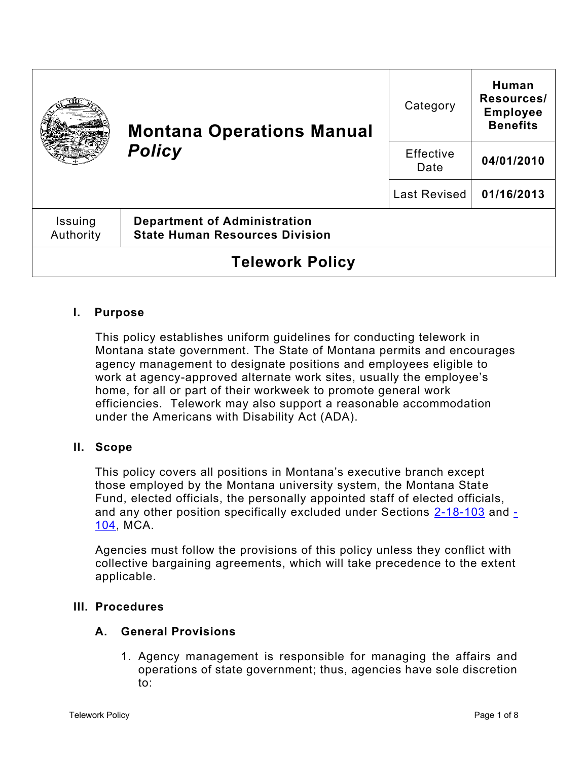|                        | <b>Montana Operations Manual</b><br><b>Policy</b>                            | Category            | Human<br>Resources/<br><b>Employee</b><br><b>Benefits</b> |
|------------------------|------------------------------------------------------------------------------|---------------------|-----------------------------------------------------------|
|                        |                                                                              | Effective<br>Date   | 04/01/2010                                                |
|                        |                                                                              | <b>Last Revised</b> | 01/16/2013                                                |
| Issuing<br>Authority   | <b>Department of Administration</b><br><b>State Human Resources Division</b> |                     |                                                           |
| <b>Telework Policy</b> |                                                                              |                     |                                                           |

# **I. Purpose**

This policy establishes uniform guidelines for conducting telework in Montana state government. The State of Montana permits and encourages agency management to designate positions and employees eligible to work at agency-approved alternate work sites, usually the employee's home, for all or part of their workweek to promote general work efficiencies. Telework may also support a reasonable accommodation under the Americans with Disability Act (ADA).

## **II. Scope**

This policy covers all positions in Montana's executive branch except those employed by the Montana university system, the Montana State Fund, elected officials, the personally appointed staff of elected officials, and any other position specifically excluded under Sections [2-18-103](https://leg.mt.gov/bills/mca/title_0020/chapter_0180/part_0010/section_0030/0020-0180-0010-0030.html) and [-](https://leg.mt.gov/bills/mca/title_0020/chapter_0180/part_0010/section_0040/0020-0180-0010-0040.html) [104,](https://leg.mt.gov/bills/mca/title_0020/chapter_0180/part_0010/section_0040/0020-0180-0010-0040.html) MCA.

Agencies must follow the provisions of this policy unless they conflict with collective bargaining agreements, which will take precedence to the extent applicable.

### **III. Procedures**

### **A. General Provisions**

1. Agency management is responsible for managing the affairs and operations of state government; thus, agencies have sole discretion to: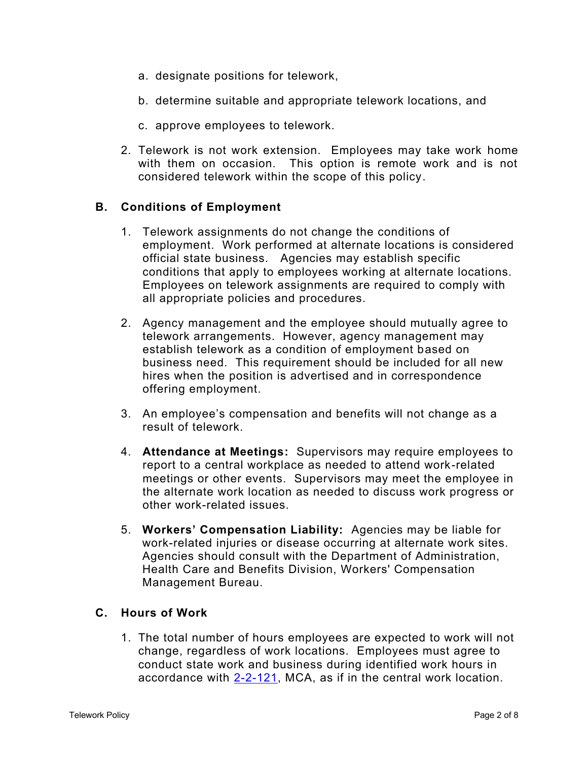- a. designate positions for telework,
- b. determine suitable and appropriate telework locations, and
- c. approve employees to telework.
- 2. Telework is not work extension. Employees may take work home with them on occasion. This option is remote work and is not considered telework within the scope of this policy.

### **B. Conditions of Employment**

- 1. Telework assignments do not change the conditions of employment. Work performed at alternate locations is considered official state business. Agencies may establish specific conditions that apply to employees working at alternate locations. Employees on telework assignments are required to comply with all appropriate policies and procedures.
- 2. Agency management and the employee should mutually agree to telework arrangements. However, agency management may establish telework as a condition of employment based on business need. This requirement should be included for all new hires when the position is advertised and in correspondence offering employment.
- 3. An employee's compensation and benefits will not change as a result of telework.
- 4. **Attendance at Meetings:** Supervisors may require employees to report to a central workplace as needed to attend work-related meetings or other events. Supervisors may meet the employee in the alternate work location as needed to discuss work progress or other work-related issues.
- 5. **Workers' Compensation Liability:** Agencies may be liable for work-related injuries or disease occurring at alternate work sites. Agencies should consult with the Department of Administration, Health Care and Benefits Division, Workers' Compensation Management Bureau.

### **C. Hours of Work**

1. The total number of hours employees are expected to work will not change, regardless of work locations. Employees must agree to conduct state work and business during identified work hours in accordance with  $2-2-121$ , MCA, as if in the central work location.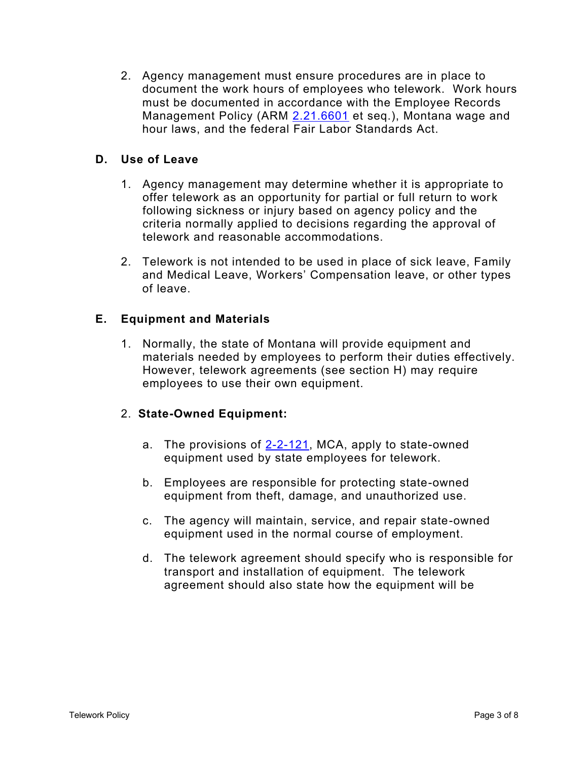2. Agency management must ensure procedures are in place to document the work hours of employees who telework. Work hours must be documented in accordance with the Employee Records Management Policy (ARM [2.21.6601](http://www.mtrules.org/gateway/Subchapterhome.asp?scn=2%2E21.66) et seq.), Montana wage and hour laws, and the federal Fair Labor Standards Act.

### **D. Use of Leave**

- 1. Agency management may determine whether it is appropriate to offer telework as an opportunity for partial or full return to work following sickness or injury based on agency policy and the criteria normally applied to decisions regarding the approval of telework and reasonable accommodations.
- 2. Telework is not intended to be used in place of sick leave, Family and Medical Leave, Workers' Compensation leave, or other types of leave.

### **E. Equipment and Materials**

1. Normally, the state of Montana will provide equipment and materials needed by employees to perform their duties effectively. However, telework agreements (see section H) may require employees to use their own equipment.

### 2. **State-Owned Equipment:**

- a. The provisions of [2-2-121,](https://leg.mt.gov/bills/mca/title_0020/chapter_0020/part_0010/section_0210/0020-0020-0010-0210.html) MCA, apply to state-owned equipment used by state employees for telework.
- b. Employees are responsible for protecting state-owned equipment from theft, damage, and unauthorized use.
- c. The agency will maintain, service, and repair state-owned equipment used in the normal course of employment.
- d. The telework agreement should specify who is responsible for transport and installation of equipment. The telework agreement should also state how the equipment will be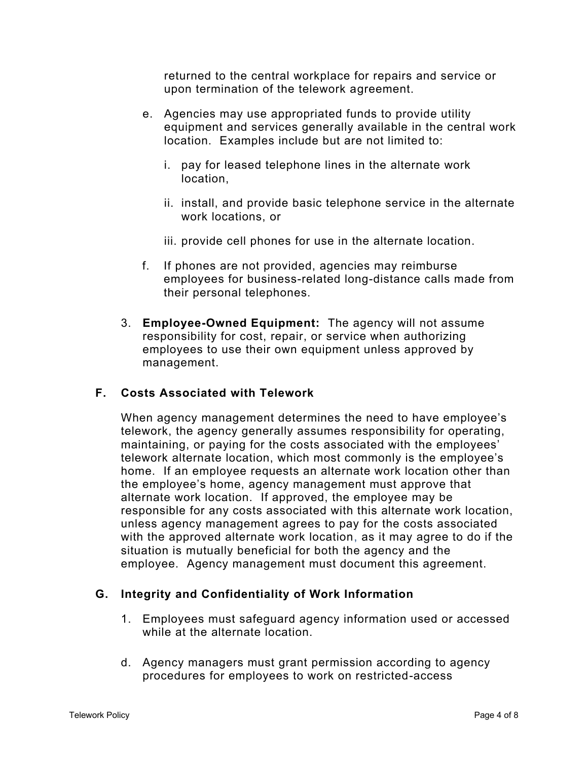returned to the central workplace for repairs and service or upon termination of the telework agreement.

- e. Agencies may use appropriated funds to provide utility equipment and services generally available in the central work location. Examples include but are not limited to:
	- i. pay for leased telephone lines in the alternate work location,
	- ii. install, and provide basic telephone service in the alternate work locations, or
	- iii. provide cell phones for use in the alternate location.
- f. If phones are not provided, agencies may reimburse employees for business-related long-distance calls made from their personal telephones.
- 3. **Employee-Owned Equipment:** The agency will not assume responsibility for cost, repair, or service when authorizing employees to use their own equipment unless approved by management.

### **F. Costs Associated with Telework**

When agency management determines the need to have employee's telework, the agency generally assumes responsibility for operating, maintaining, or paying for the costs associated with the employees' telework alternate location, which most commonly is the employee's home. If an employee requests an alternate work location other than the employee's home, agency management must approve that alternate work location. If approved, the employee may be responsible for any costs associated with this alternate work location, unless agency management agrees to pay for the costs associated with the approved alternate work location, as it may agree to do if the situation is mutually beneficial for both the agency and the employee. Agency management must document this agreement.

## **G. Integrity and Confidentiality of Work Information**

- 1. Employees must safeguard agency information used or accessed while at the alternate location.
- d. Agency managers must grant permission according to agency procedures for employees to work on restricted-access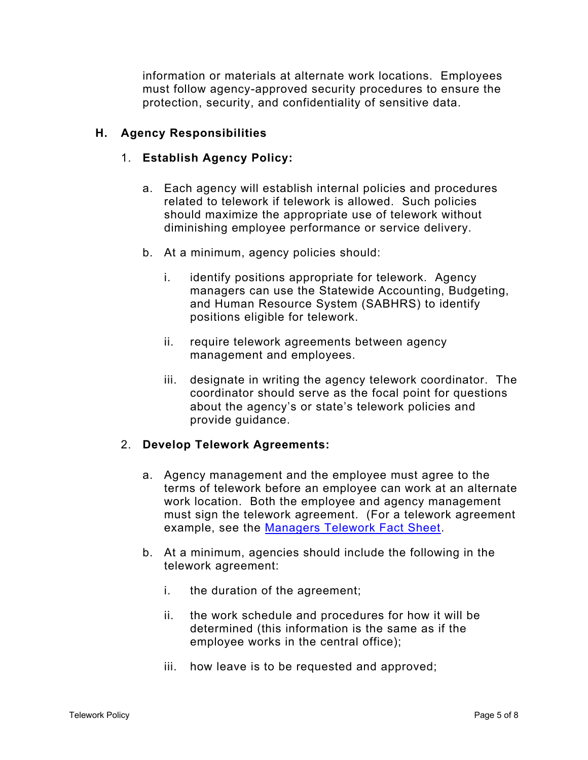information or materials at alternate work locations. Employees must follow agency-approved security procedures to ensure the protection, security, and confidentiality of sensitive data.

## **H. Agency Responsibilities**

# 1. **Establish Agency Policy:**

- a. Each agency will establish internal policies and procedures related to telework if telework is allowed. Such policies should maximize the appropriate use of telework without diminishing employee performance or service delivery.
- b. At a minimum, agency policies should:
	- i. identify positions appropriate for telework. Agency managers can use the Statewide Accounting, Budgeting, and Human Resource System (SABHRS) to identify positions eligible for telework.
	- ii. require telework agreements between agency management and employees.
	- iii. designate in writing the agency telework coordinator. The coordinator should serve as the focal point for questions about the agency's or state's telework policies and provide guidance.

## 2. **Develop Telework Agreements:**

- a. Agency management and the employee must agree to the terms of telework before an employee can work at an alternate work location. Both the employee and agency management must sign the telework agreement. (For a telework agreement example, see the [Managers Telework Fact Sheet.](https://hr.mt.gov/Portals/201/newdocs/factsheets/2010%20TW%20Fact%20Sheet.pdf)
- b. At a minimum, agencies should include the following in the telework agreement:
	- i. the duration of the agreement;
	- ii. the work schedule and procedures for how it will be determined (this information is the same as if the employee works in the central office);
	- iii. how leave is to be requested and approved;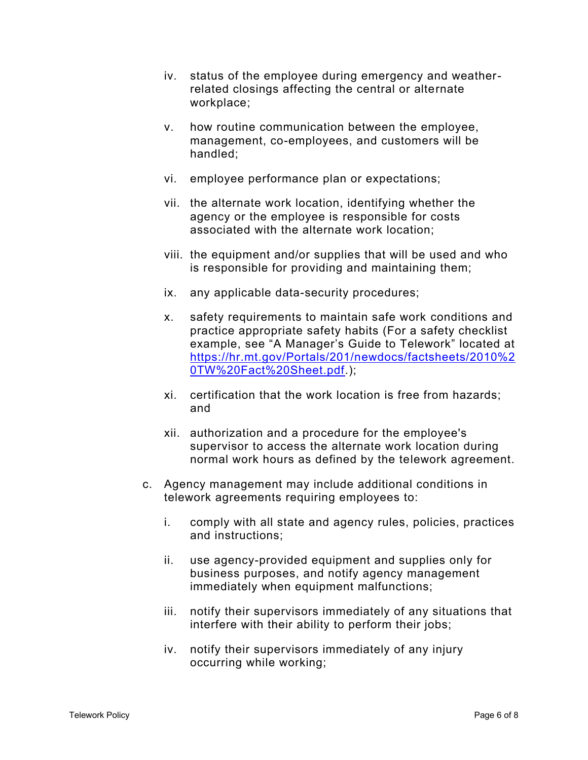- iv. status of the employee during emergency and weatherrelated closings affecting the central or alternate workplace;
- v. how routine communication between the employee, management, co-employees, and customers will be handled;
- vi. employee performance plan or expectations;
- vii. the alternate work location, identifying whether the agency or the employee is responsible for costs associated with the alternate work location;
- viii. the equipment and/or supplies that will be used and who is responsible for providing and maintaining them;
- ix. any applicable data-security procedures;
- x. safety requirements to maintain safe work conditions and practice appropriate safety habits (For a safety checklist example, see "A Manager's Guide to Telework" located at [https://hr.mt.gov/Portals/201/newdocs/factsheets/2010%2](https://hr.mt.gov/Portals/201/newdocs/factsheets/2010%20TW%20Fact%20Sheet.pdf) [0TW%20Fact%20Sheet.pdf.](https://hr.mt.gov/Portals/201/newdocs/factsheets/2010%20TW%20Fact%20Sheet.pdf));
- xi. certification that the work location is free from hazards; and
- xii. authorization and a procedure for the employee's supervisor to access the alternate work location during normal work hours as defined by the telework agreement.
- c. Agency management may include additional conditions in telework agreements requiring employees to:
	- i. comply with all state and agency rules, policies, practices and instructions;
	- ii. use agency-provided equipment and supplies only for business purposes, and notify agency management immediately when equipment malfunctions;
	- iii. notify their supervisors immediately of any situations that interfere with their ability to perform their jobs;
	- iv. notify their supervisors immediately of any injury occurring while working;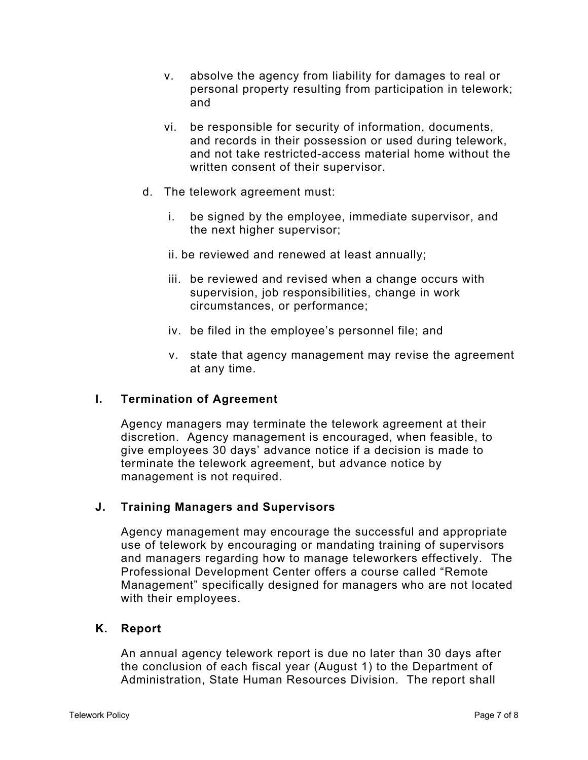- v. absolve the agency from liability for damages to real or personal property resulting from participation in telework; and
- vi. be responsible for security of information, documents, and records in their possession or used during telework, and not take restricted-access material home without the written consent of their supervisor.
- d. The telework agreement must:
	- i. be signed by the employee, immediate supervisor, and the next higher supervisor;
	- ii. be reviewed and renewed at least annually;
	- iii. be reviewed and revised when a change occurs with supervision, job responsibilities, change in work circumstances, or performance;
	- iv. be filed in the employee's personnel file; and
	- v. state that agency management may revise the agreement at any time.

### **I. Termination of Agreement**

Agency managers may terminate the telework agreement at their discretion. Agency management is encouraged, when feasible, to give employees 30 days' advance notice if a decision is made to terminate the telework agreement, but advance notice by management is not required.

### **J. Training Managers and Supervisors**

Agency management may encourage the successful and appropriate use of telework by encouraging or mandating training of supervisors and managers regarding how to manage teleworkers effectively. The Professional Development Center offers a course called "Remote Management" specifically designed for managers who are not located with their employees.

### **K. Report**

An annual agency telework report is due no later than 30 days after the conclusion of each fiscal year (August 1) to the Department of Administration, State Human Resources Division. The report shall